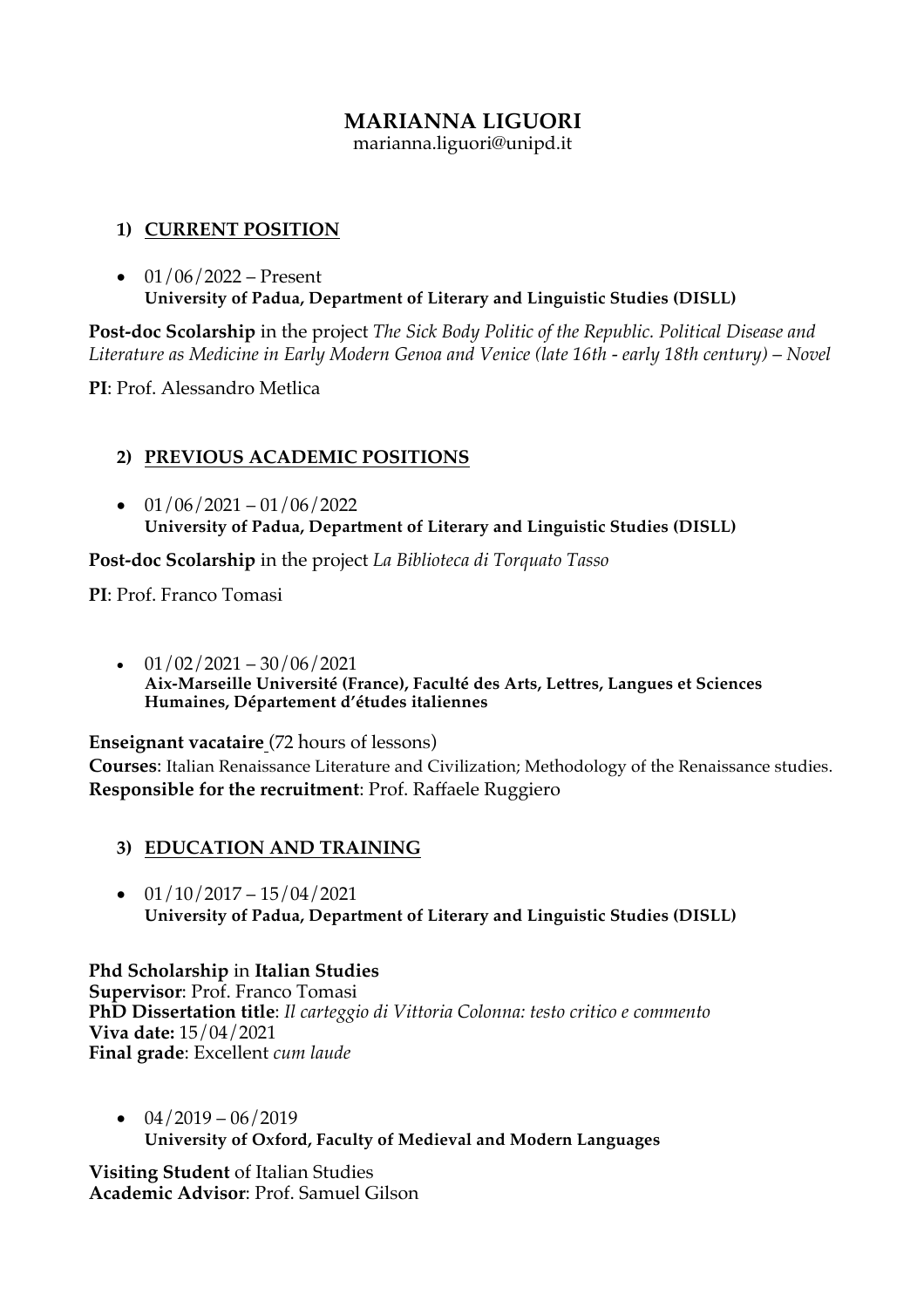# **MARIANNA LIGUORI**

marianna.liguori@unipd.it

## **1) CURRENT POSITION**

•  $01/06/2022$  – Present **University of Padua, Department of Literary and Linguistic Studies (DISLL)**

**Post-doc Scolarship** in the project *The Sick Body Politic of the Republic. Political Disease and Literature as Medicine in Early Modern Genoa and Venice (late 16th - early 18th century)* – *Novel*

**PI**: Prof. Alessandro Metlica

# **2) PREVIOUS ACADEMIC POSITIONS**

 $\bullet$  01/06/2021 – 01/06/2022 **University of Padua, Department of Literary and Linguistic Studies (DISLL)**

**Post-doc Scolarship** in the project *La Biblioteca di Torquato Tasso*

**PI**: Prof. Franco Tomasi

 $\cdot$  01/02/2021 – 30/06/2021 **Aix-Marseille Université (France), Faculté des Arts, Lettres, Langues et Sciences Humaines, Département d'études italiennes**

**Enseignant vacataire** (72 hours of lessons)

**Courses**: Italian Renaissance Literature and Civilization; Methodology of the Renaissance studies. **Responsible for the recruitment**: Prof. Raffaele Ruggiero

- **3) EDUCATION AND TRAINING**
- $\bullet$  01/10/2017 15/04/2021 **University of Padua, Department of Literary and Linguistic Studies (DISLL)**

**Phd Scholarship** in **Italian Studies Supervisor**: Prof. Franco Tomasi **PhD Dissertation title**: *Il carteggio di Vittoria Colonna: testo critico e commento* **Viva date:** 15/04/2021 **Final grade**: Excellent *cum laude*

 $\bullet$  04/2019 – 06/2019 **University of Oxford, Faculty of Medieval and Modern Languages**

**Visiting Student** of Italian Studies **Academic Advisor**: Prof. Samuel Gilson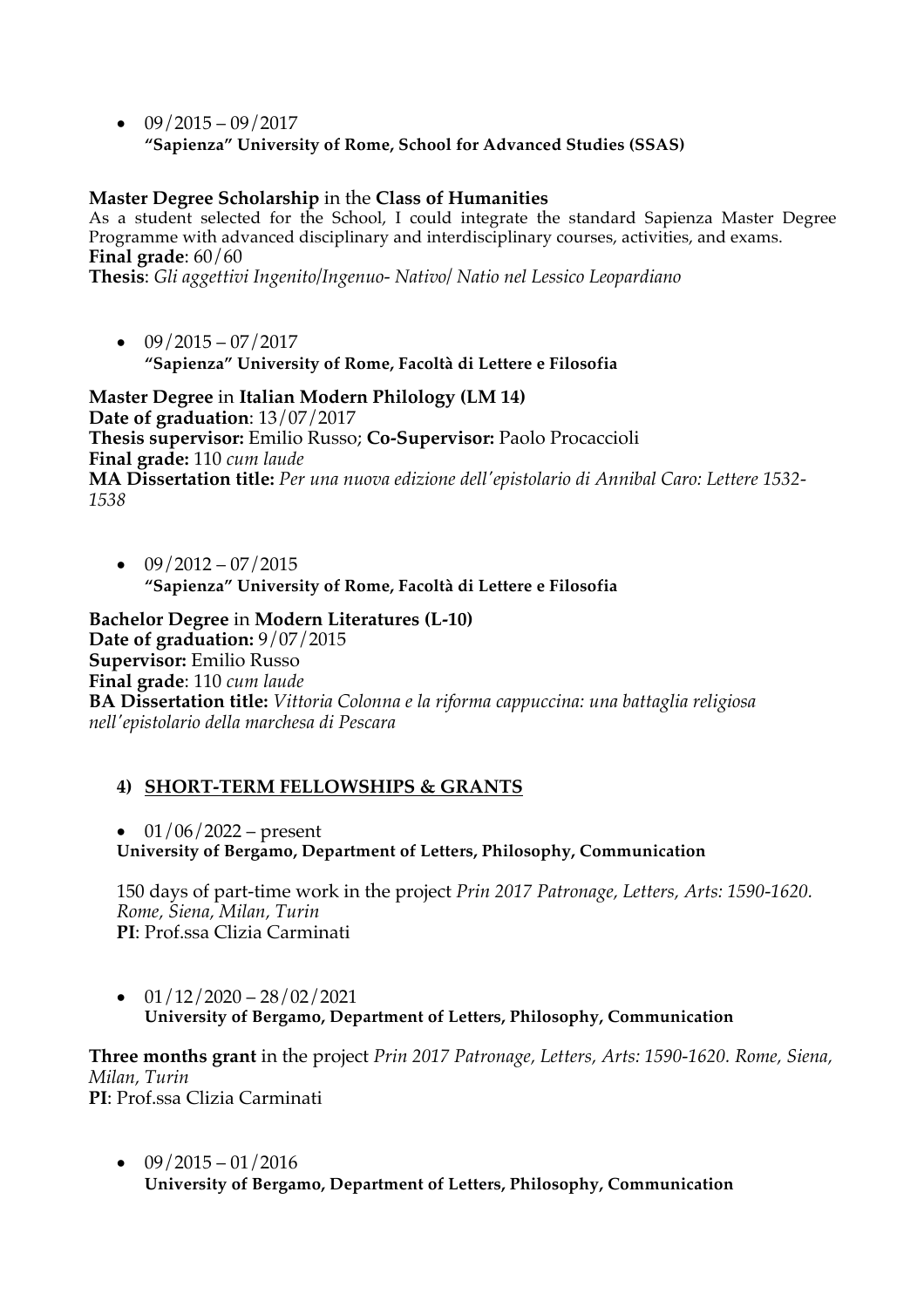$\bullet$  09/2015 – 09/2017 **"Sapienza" University of Rome, School for Advanced Studies (SSAS)**

#### **Master Degree Scholarship** in the **Class of Humanities**

As a student selected for the School, I could integrate the standard Sapienza Master Degree Programme with advanced disciplinary and interdisciplinary courses, activities, and exams. **Final grade**: 60/60

**Thesis**: *Gli aggettivi Ingenito/Ingenuo- Nativo/ Natio nel Lessico Leopardiano*

 $\bullet$  09/2015 – 07/2017 **"Sapienza" University of Rome, Facoltà di Lettere e Filosofia**

**Master Degree** in **Italian Modern Philology (LM 14) Date of graduation**: 13/07/2017 **Thesis supervisor:** Emilio Russo; **Co-Supervisor:** Paolo Procaccioli **Final grade:** 110 *cum laude* **MA Dissertation title:** *Per una nuova edizione dell'epistolario di Annibal Caro: Lettere 1532- 1538*

 $\bullet$  09/2012 – 07/2015 **"Sapienza" University of Rome, Facoltà di Lettere e Filosofia**

**Bachelor Degree** in **Modern Literatures (L-10) Date of graduation:** 9/07/2015 **Supervisor:** Emilio Russo **Final grade**: 110 *cum laude* **BA Dissertation title:** *Vittoria Colonna e la riforma cappuccina: una battaglia religiosa nell'epistolario della marchesa di Pescara*

## **4) SHORT-TERM FELLOWSHIPS & GRANTS**

•  $01/06/2022$  – present

**University of Bergamo, Department of Letters, Philosophy, Communication**

150 days of part-time work in the project *Prin 2017 Patronage, Letters, Arts: 1590-1620. Rome, Siena, Milan, Turin* **PI**: Prof.ssa Clizia Carminati

 $\bullet$  01/12/2020 – 28/02/2021 **University of Bergamo, Department of Letters, Philosophy, Communication**

**Three months grant** in the project *Prin 2017 Patronage, Letters, Arts: 1590-1620. Rome, Siena, Milan, Turin* **PI**: Prof.ssa Clizia Carminati

 $\bullet$  09/2015 – 01/2016 **University of Bergamo, Department of Letters, Philosophy, Communication**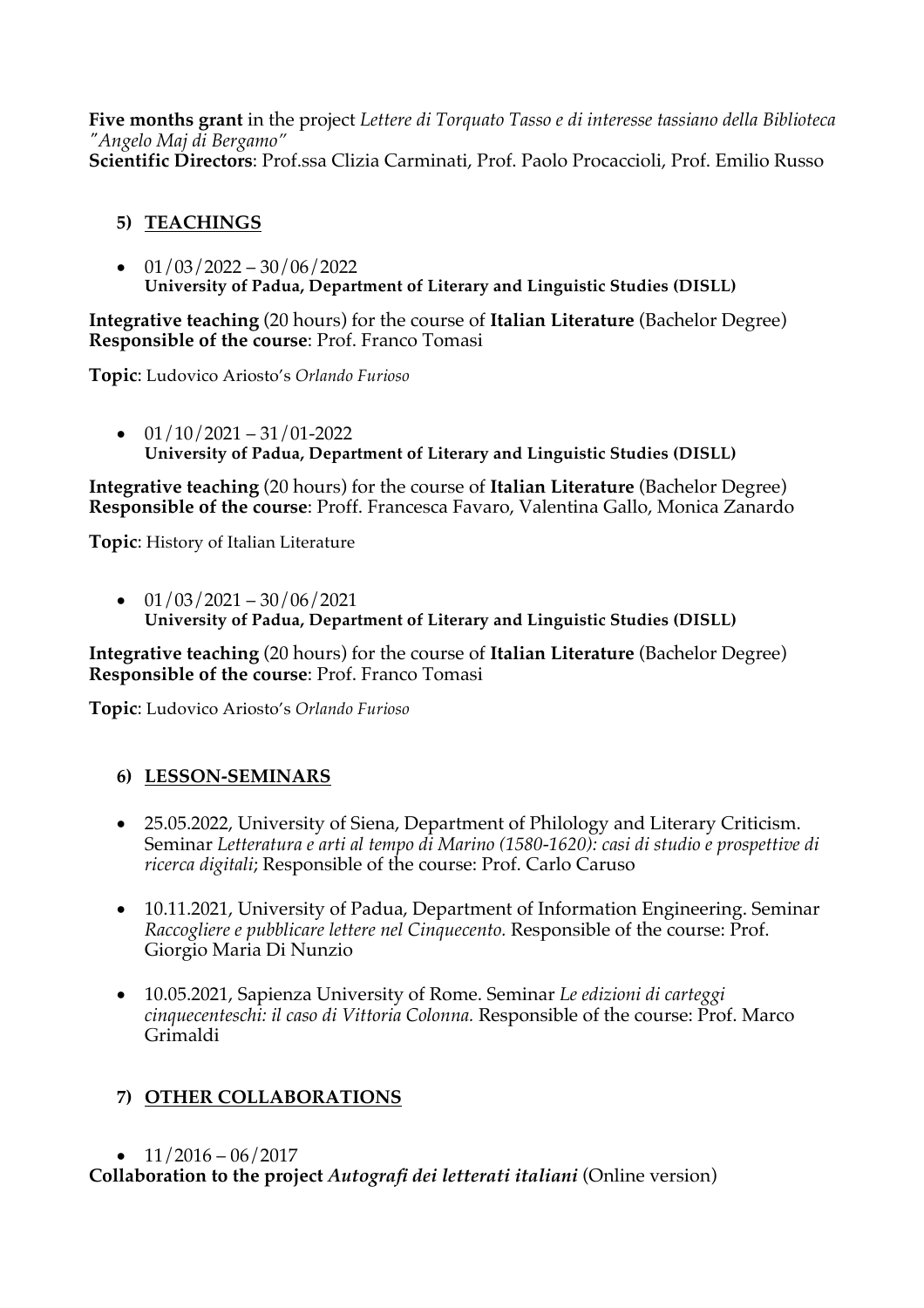**Five months grant** in the project *Lettere di Torquato Tasso e di interesse tassiano della Biblioteca "Angelo Maj di Bergamo"* **Scientific Directors**: Prof.ssa Clizia Carminati, Prof. Paolo Procaccioli, Prof. Emilio Russo

# **5) TEACHINGS**

 $\bullet$  01/03/2022 – 30/06/2022 **University of Padua, Department of Literary and Linguistic Studies (DISLL)**

**Integrative teaching** (20 hours) for the course of **Italian Literature** (Bachelor Degree) **Responsible of the course**: Prof. Franco Tomasi

**Topic**: Ludovico Ariosto's *Orlando Furioso*

 $\bullet$  01/10/2021 – 31/01-2022 **University of Padua, Department of Literary and Linguistic Studies (DISLL)**

**Integrative teaching** (20 hours) for the course of **Italian Literature** (Bachelor Degree) **Responsible of the course**: Proff. Francesca Favaro, Valentina Gallo, Monica Zanardo

**Topic**: History of Italian Literature

 $\bullet$  01/03/2021 – 30/06/2021 **University of Padua, Department of Literary and Linguistic Studies (DISLL)**

**Integrative teaching** (20 hours) for the course of **Italian Literature** (Bachelor Degree) **Responsible of the course**: Prof. Franco Tomasi

**Topic**: Ludovico Ariosto's *Orlando Furioso*

# **6) LESSON-SEMINARS**

- 25.05.2022, University of Siena, Department of Philology and Literary Criticism. Seminar *Letteratura e arti al tempo di Marino (1580-1620): casi di studio e prospettive di ricerca digitali*; Responsible of the course: Prof. Carlo Caruso
- 10.11.2021, University of Padua, Department of Information Engineering. Seminar *Raccogliere e pubblicare lettere nel Cinquecento.* Responsible of the course: Prof. Giorgio Maria Di Nunzio
- 10.05.2021, Sapienza University of Rome. Seminar *Le edizioni di carteggi cinquecenteschi: il caso di Vittoria Colonna.* Responsible of the course: Prof. Marco Grimaldi

# **7) OTHER COLLABORATIONS**

 $\bullet$  11/2016 – 06/2017

**Collaboration to the project** *Autografi dei letterati italiani* (Online version)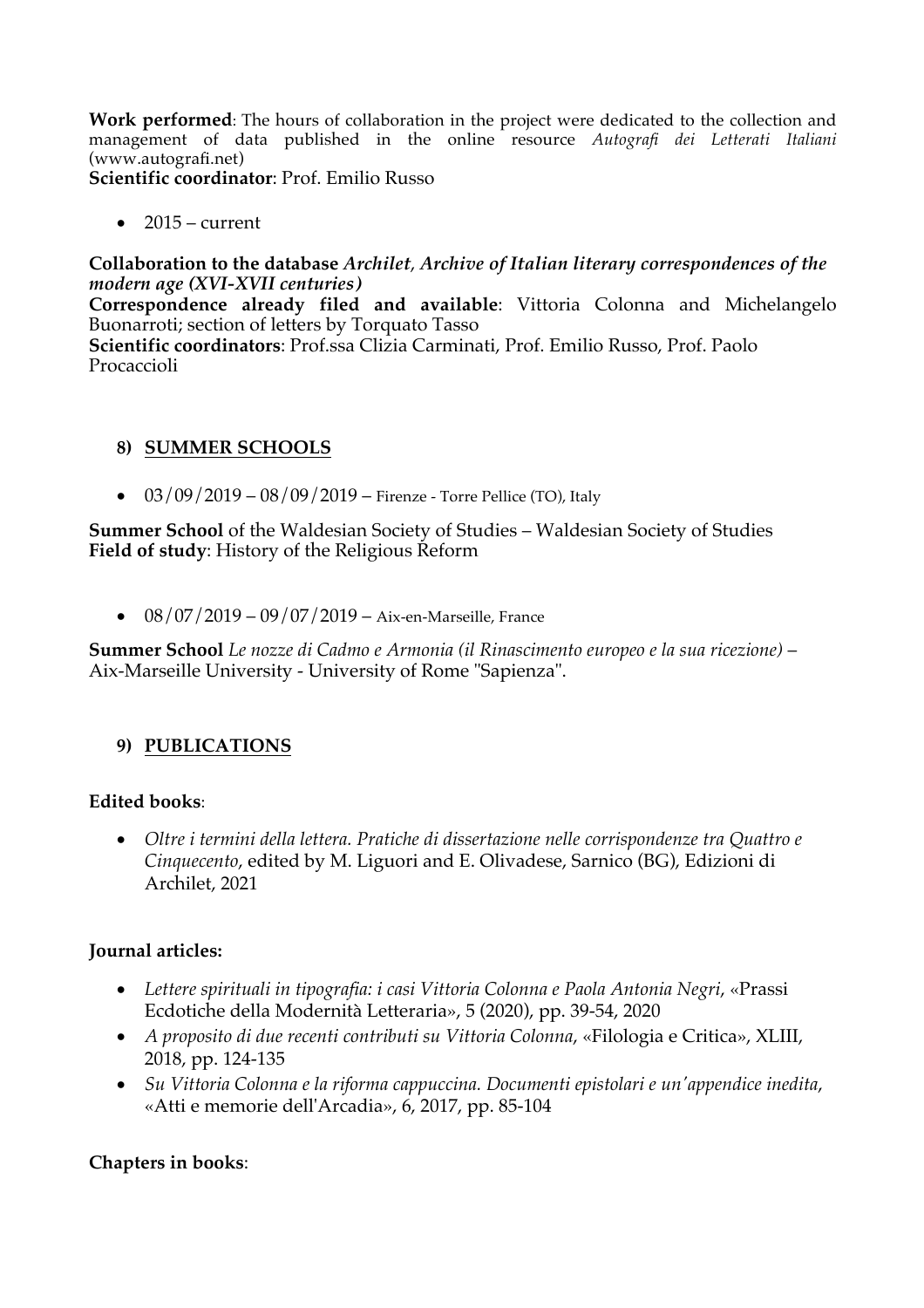**Work performed**: The hours of collaboration in the project were dedicated to the collection and management of data published in the online resource *Autografi dei Letterati Italiani* (www.autografi.net)

**Scientific coordinator**: Prof. Emilio Russo

 $2015$  – current

#### **Collaboration to the database** *Archilet*, *Archive of Italian literary correspondences of the modern age (XVI-XVII centuries)*

**Correspondence already filed and available**: Vittoria Colonna and Michelangelo Buonarroti; section of letters by Torquato Tasso

**Scientific coordinators**: Prof.ssa Clizia Carminati, Prof. Emilio Russo, Prof. Paolo Procaccioli

#### **8) SUMMER SCHOOLS**

•  $03/09/2019 - 08/09/2019$  – Firenze - Torre Pellice (TO), Italy

**Summer School** of the Waldesian Society of Studies – Waldesian Society of Studies **Field of study**: History of the Religious Reform

•  $08/07/2019 - 09/07/2019 - Aix-en-Marseille, France$ 

**Summer School** *Le nozze di Cadmo e Armonia (il Rinascimento europeo e la sua ricezione)* – Aix-Marseille University - University of Rome "Sapienza".

## **9) PUBLICATIONS**

#### **Edited books**:

• *Oltre i termini della lettera. Pratiche di dissertazione nelle corrispondenze tra Quattro e Cinquecento*, edited by M. Liguori and E. Olivadese, Sarnico (BG), Edizioni di Archilet, 2021

#### **Journal articles:**

- *Lettere spirituali in tipografia: i casi Vittoria Colonna e Paola Antonia Negri*, «Prassi Ecdotiche della Modernità Letteraria», 5 (2020), pp. 39-54, 2020
- *A proposito di due recenti contributi su Vittoria Colonna*, «Filologia e Critica», XLIII, 2018, pp. 124-135
- *Su Vittoria Colonna e la riforma cappuccina. Documenti epistolari e un'appendice inedita*, «Atti e memorie dell'Arcadia», 6, 2017, pp. 85-104

#### **Chapters in books**: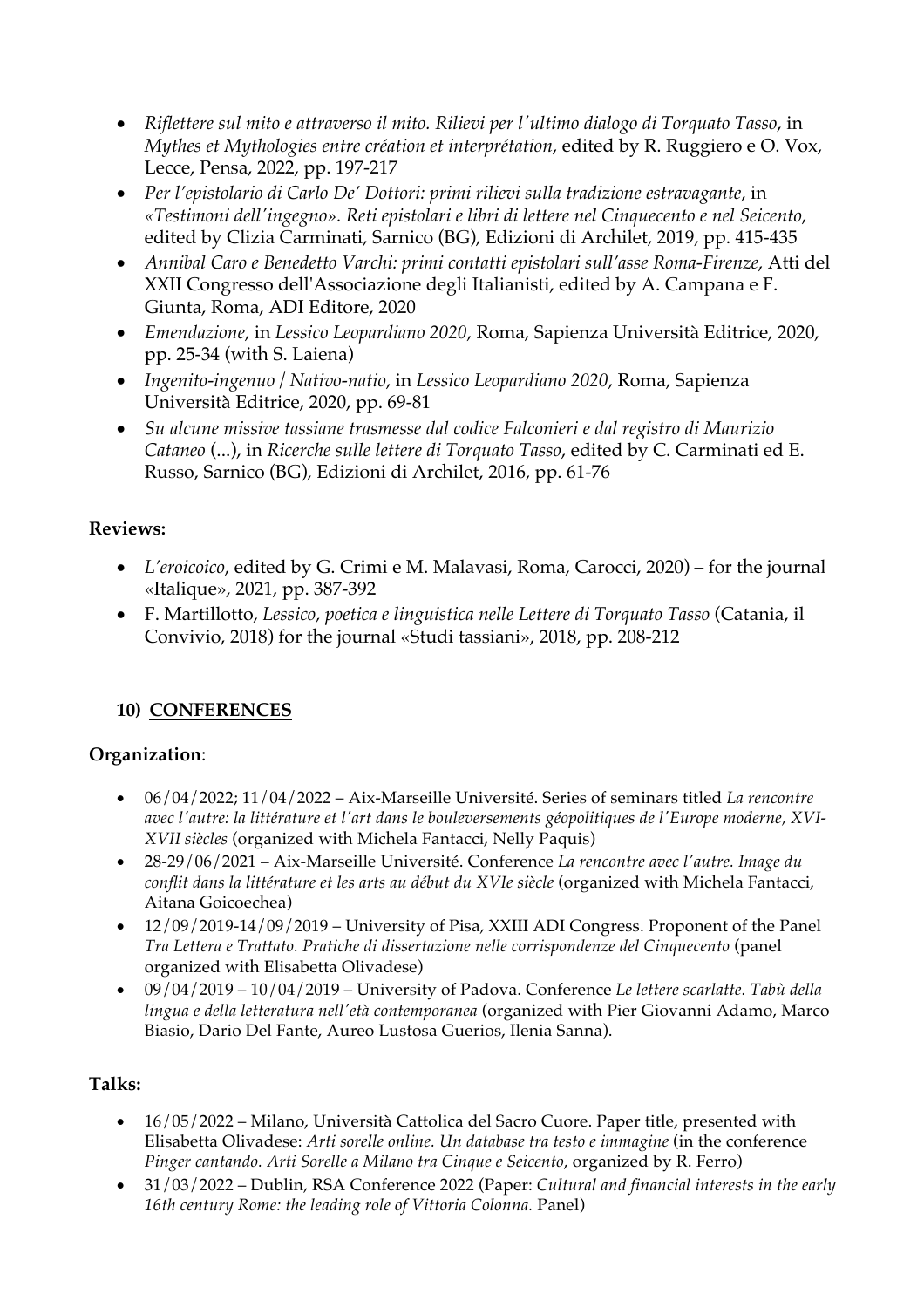- *Riflettere sul mito e attraverso il mito. Rilievi per l'ultimo dialogo di Torquato Tasso*, in *Mythes et Mythologies entre création et interprétation*, edited by R. Ruggiero e O. Vox, Lecce, Pensa, 2022, pp. 197-217
- *Per l'epistolario di Carlo De' Dottori: primi rilievi sulla tradizione estravagante*, in *«Testimoni dell'ingegno». Reti epistolari e libri di lettere nel Cinquecento e nel Seicento*, edited by Clizia Carminati, Sarnico (BG), Edizioni di Archilet, 2019, pp. 415-435
- *Annibal Caro e Benedetto Varchi: primi contatti epistolari sull'asse Roma-Firenze*, Atti del XXII Congresso dell'Associazione degli Italianisti, edited by A. Campana e F. Giunta, Roma, ADI Editore, 2020
- *Emendazione*, in *Lessico Leopardiano 2020*, Roma, Sapienza Università Editrice, 2020, pp. 25-34 (with S. Laiena)
- *Ingenito-ingenuo / Nativo-natio*, in *Lessico Leopardiano 2020*, Roma, Sapienza Università Editrice, 2020, pp. 69-81
- *Su alcune missive tassiane trasmesse dal codice Falconieri e dal registro di Maurizio Cataneo* (...), in *Ricerche sulle lettere di Torquato Tasso*, edited by C. Carminati ed E. Russo, Sarnico (BG), Edizioni di Archilet, 2016, pp. 61-76

## **Reviews:**

- *L'eroicoico*, edited by G. Crimi e M. Malavasi, Roma, Carocci, 2020) for the journal «Italique», 2021, pp. 387-392
- F. Martillotto, *Lessico, poetica e linguistica nelle Lettere di Torquato Tasso* (Catania, il Convivio, 2018) for the journal «Studi tassiani», 2018, pp. 208-212

# **10) CONFERENCES**

# **Organization**:

- 06/04/2022; 11/04/2022 Aix-Marseille Université. Series of seminars titled *La rencontre avec l'autre: la littérature et l'art dans le bouleversements géopolitiques de l'Europe moderne, XVI-XVII siècles* (organized with Michela Fantacci, Nelly Paquis)
- 28-29/06/2021 Aix-Marseille Université. Conference *La rencontre avec l'autre. Image du conflit dans la littérature et les arts au début du XVIe siècle* (organized with Michela Fantacci, Aitana Goicoechea)
- 12/09/2019-14/09/2019 University of Pisa, XXIII ADI Congress. Proponent of the Panel *Tra Lettera e Trattato. Pratiche di dissertazione nelle corrispondenze del Cinquecento* (panel organized with Elisabetta Olivadese)
- 09/04/2019 10/04/2019 University of Padova. Conference *Le lettere scarlatte. Tabù della lingua e della letteratura nell'età contemporanea* (organized with Pier Giovanni Adamo, Marco Biasio, Dario Del Fante, Aureo Lustosa Guerios, Ilenia Sanna).

## **Talks:**

- 16/05/2022 Milano, Università Cattolica del Sacro Cuore. Paper title, presented with Elisabetta Olivadese: *Arti sorelle online. Un database tra testo e immagine* (in the conference *Pinger cantando. Arti Sorelle a Milano tra Cinque e Seicento*, organized by R. Ferro)
- 31/03/2022 Dublin, RSA Conference 2022 (Paper: *Cultural and financial interests in the early 16th century Rome: the leading role of Vittoria Colonna.* Panel)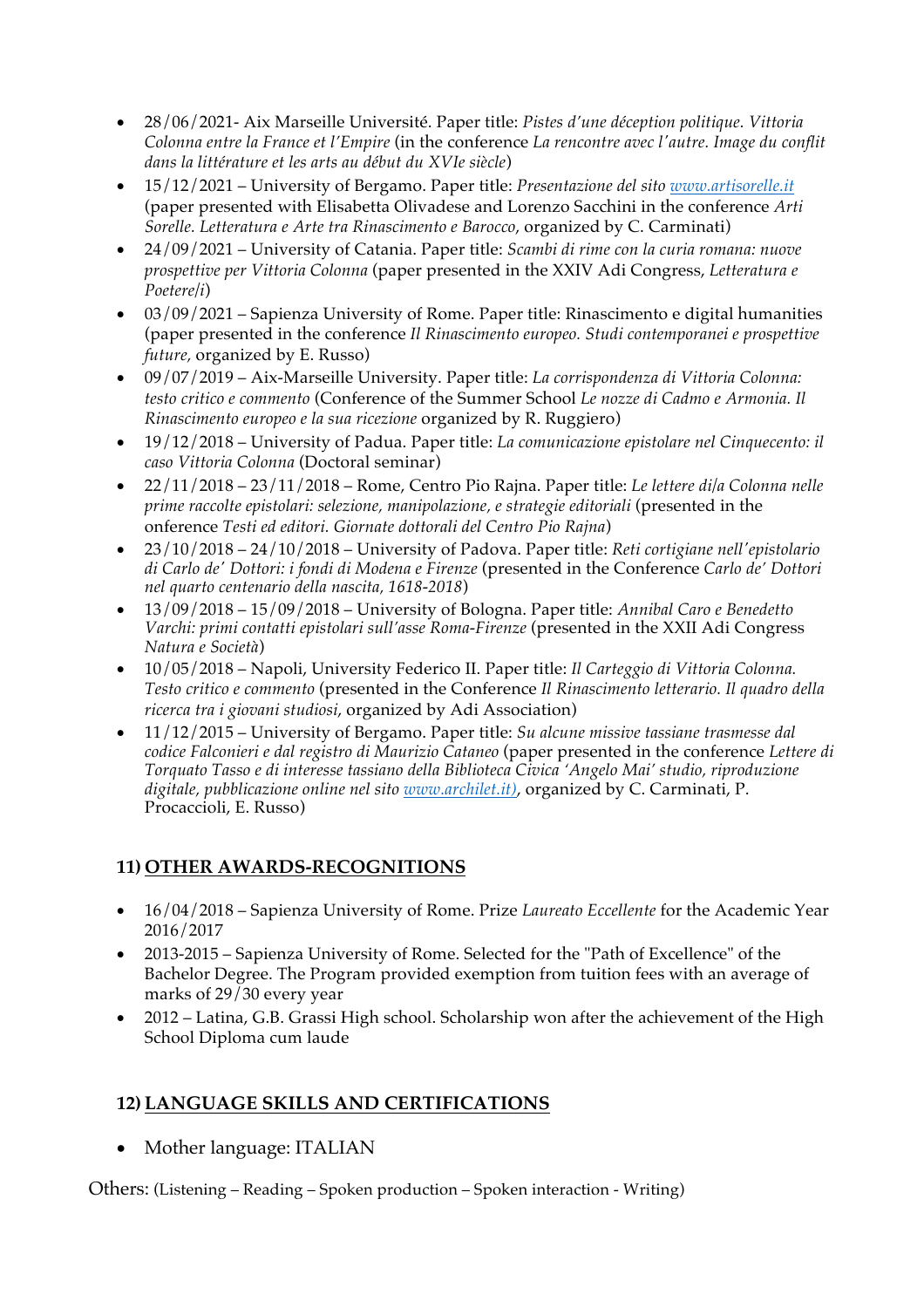- 28/06/2021- Aix Marseille Université. Paper title: *Pistes d'une déception politique. Vittoria Colonna entre la France et l'Empire* (in the conference *La rencontre avec l'autre. Image du conflit dans la littérature et les arts au début du XVIe siècle*)
- 15/12/2021 University of Bergamo. Paper title: *Presentazione del sito www.artisorelle.it* (paper presented with Elisabetta Olivadese and Lorenzo Sacchini in the conference *Arti Sorelle. Letteratura e Arte tra Rinascimento e Barocco*, organized by C. Carminati)
- 24/09/2021 University of Catania. Paper title: *Scambi di rime con la curia romana: nuove prospettive per Vittoria Colonna* (paper presented in the XXIV Adi Congress, *Letteratura e Poetere/i*)
- 03/09/2021 Sapienza University of Rome. Paper title: Rinascimento e digital humanities (paper presented in the conference *Il Rinascimento europeo. Studi contemporanei e prospettive future,* organized by E. Russo)
- 09/07/2019 Aix-Marseille University. Paper title: *La corrispondenza di Vittoria Colonna: testo critico e commento* (Conference of the Summer School *Le nozze di Cadmo e Armonia. Il Rinascimento europeo e la sua ricezione* organized by R. Ruggiero)
- 19/12/2018 University of Padua. Paper title: *La comunicazione epistolare nel Cinquecento: il caso Vittoria Colonna* (Doctoral seminar)
- 22/11/2018 23/11/2018 Rome, Centro Pio Rajna. Paper title: *Le lettere di/a Colonna nelle prime raccolte epistolari: selezione, manipolazione, e strategie editoriali* (presented in the onference *Testi ed editori. Giornate dottorali del Centro Pio Rajna*)
- 23/10/2018 24/10/2018 University of Padova. Paper title: *Reti cortigiane nell'epistolario di Carlo de' Dottori: i fondi di Modena e Firenze* (presented in the Conference *Carlo de' Dottori nel quarto centenario della nascita, 1618-2018*)
- 13/09/2018 15/09/2018 University of Bologna. Paper title: *Annibal Caro e Benedetto Varchi: primi contatti epistolari sull'asse Roma-Firenze* (presented in the XXII Adi Congress *Natura e Società*)
- 10/05/2018 Napoli, University Federico II. Paper title: *Il Carteggio di Vittoria Colonna. Testo critico e commento* (presented in the Conference *Il Rinascimento letterario. Il quadro della ricerca tra i giovani studiosi*, organized by Adi Association)
- 11/12/2015 University of Bergamo. Paper title: *Su alcune missive tassiane trasmesse dal codice Falconieri e dal registro di Maurizio Cataneo* (paper presented in the conference *Lettere di Torquato Tasso e di interesse tassiano della Biblioteca Civica 'Angelo Mai' studio, riproduzione digitale, pubblicazione online nel sito www.archilet.it)*, organized by C. Carminati, P. Procaccioli, E. Russo)

# **11) OTHER AWARDS-RECOGNITIONS**

- 16/04/2018 Sapienza University of Rome. Prize *Laureato Eccellente* for the Academic Year 2016/2017
- 2013-2015 Sapienza University of Rome. Selected for the "Path of Excellence" of the Bachelor Degree. The Program provided exemption from tuition fees with an average of marks of 29/30 every year
- 2012 Latina, G.B. Grassi High school. Scholarship won after the achievement of the High School Diploma cum laude

# **12) LANGUAGE SKILLS AND CERTIFICATIONS**

• Mother language: ITALIAN

Others: (Listening – Reading – Spoken production – Spoken interaction - Writing)